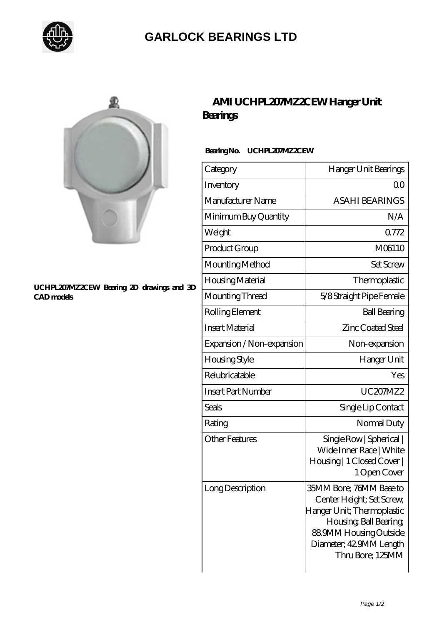

## **[GARLOCK BEARINGS LTD](https://m.letterstopriests.com)**



#### **[UCHPL207MZ2CEW Bearing 2D drawings and 3D](https://m.letterstopriests.com/pic-189152.html) [CAD models](https://m.letterstopriests.com/pic-189152.html)**

## **[AMI UCHPL207MZ2CEW Hanger Unit](https://m.letterstopriests.com/aw-189152-ami-uchpl207mz2cew-hanger-unit-bearings.html) [Bearings](https://m.letterstopriests.com/aw-189152-ami-uchpl207mz2cew-hanger-unit-bearings.html)**

### **Bearing No. UCHPL207MZ2CEW**

| Category                  | Hanger Unit Bearings                                                                                                                                                                 |
|---------------------------|--------------------------------------------------------------------------------------------------------------------------------------------------------------------------------------|
| Inventory                 | 0 <sup>0</sup>                                                                                                                                                                       |
| Manufacturer Name         | <b>ASAHI BEARINGS</b>                                                                                                                                                                |
| Minimum Buy Quantity      | N/A                                                                                                                                                                                  |
| Weight                    | 0772                                                                                                                                                                                 |
| Product Group             | M06110                                                                                                                                                                               |
| Mounting Method           | Set Screw                                                                                                                                                                            |
| Housing Material          | Thermoplastic                                                                                                                                                                        |
| Mounting Thread           | 5/8 Straight Pipe Female                                                                                                                                                             |
| Rolling Element           | <b>Ball Bearing</b>                                                                                                                                                                  |
| <b>Insert Material</b>    | <b>Zinc Coated Steel</b>                                                                                                                                                             |
| Expansion / Non-expansion | Non-expansion                                                                                                                                                                        |
| Housing Style             | Hanger Unit                                                                                                                                                                          |
| Relubricatable            | Yes                                                                                                                                                                                  |
| <b>Insert Part Number</b> | UC207MZ2                                                                                                                                                                             |
| Seals                     | Single Lip Contact                                                                                                                                                                   |
| Rating                    | Normal Duty                                                                                                                                                                          |
| <b>Other Features</b>     | Single Row   Spherical  <br>Wide Inner Race   White<br>Housing   1 Closed Cover  <br>1 Open Cover                                                                                    |
| Long Description          | 35MM Bore; 76MM Base to<br>Center Height; Set Screw,<br>Hanger Unit; Thermoplastic<br>Housing, Ball Bearing,<br>889MM Housing Outside<br>Diameter; 42 9MM Length<br>Thru Bore; 125MM |